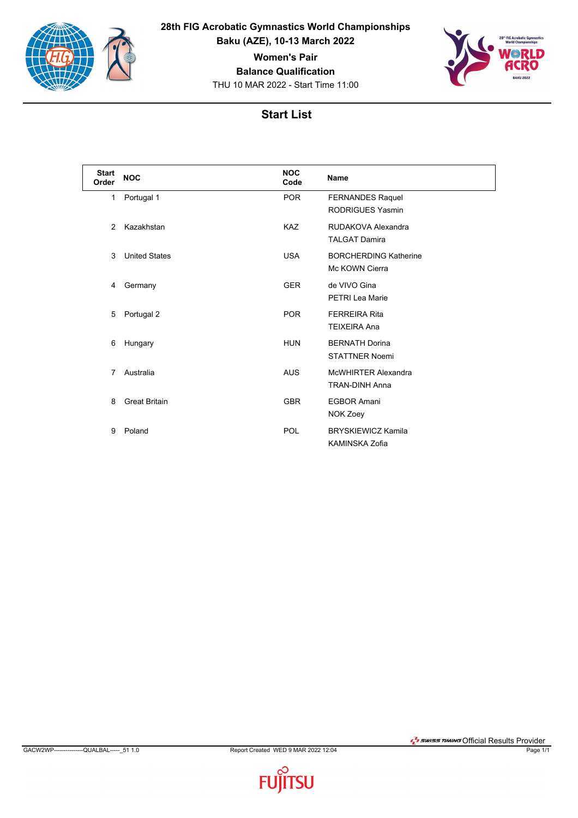

**28th FIG Acrobatic Gymnastics World Championships Baku (AZE), 10-13 March 2022**

**Women's Pair**

**Balance Qualification**

THU 10 MAR 2022 - Start Time 11:00



## **Start List**

| <b>Start</b><br>Order | <b>NOC</b>           | <b>NOC</b><br>Code | <b>Name</b>                                         |
|-----------------------|----------------------|--------------------|-----------------------------------------------------|
| 1                     | Portugal 1           | <b>POR</b>         | <b>FERNANDES Raquel</b><br><b>RODRIGUES Yasmin</b>  |
| 2                     | Kazakhstan           | <b>KAZ</b>         | RUDAKOVA Alexandra<br><b>TALGAT Damira</b>          |
| 3                     | <b>United States</b> | <b>USA</b>         | <b>BORCHERDING Katherine</b><br>Mc KOWN Cierra      |
| 4                     | Germany              | <b>GER</b>         | de VIVO Gina<br><b>PETRI Lea Marie</b>              |
| 5                     | Portugal 2           | <b>POR</b>         | <b>FERREIRA Rita</b><br><b>TEIXEIRA Ana</b>         |
| 6                     | Hungary              | <b>HUN</b>         | <b>BERNATH Dorina</b><br><b>STATTNER Noemi</b>      |
| 7                     | Australia            | <b>AUS</b>         | <b>McWHIRTER Alexandra</b><br><b>TRAN-DINH Anna</b> |
| 8                     | <b>Great Britain</b> | <b>GBR</b>         | <b>EGBOR Amani</b><br>NOK Zoey                      |
| 9                     | Poland               | POL                | <b>BRYSKIEWICZ Kamila</b><br><b>KAMINSKA Zofia</b>  |